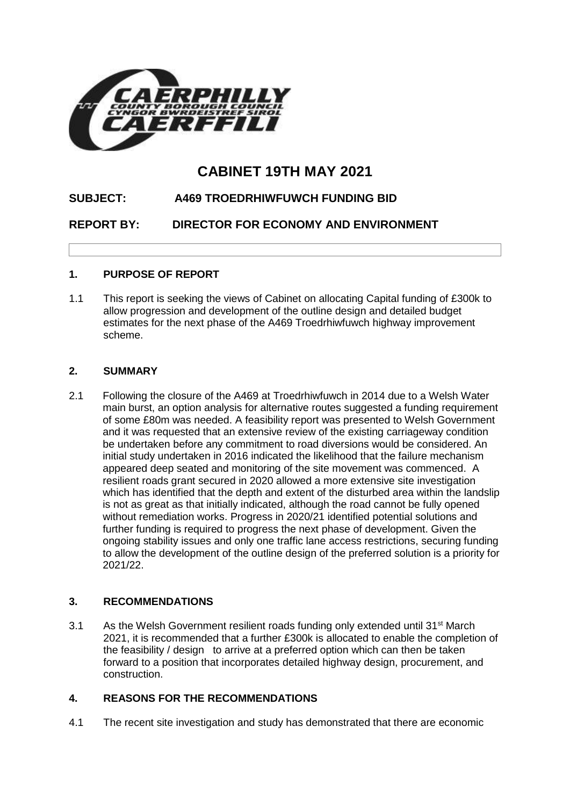

# **CABINET 19TH MAY 2021**

## **SUBJECT: A469 TROEDRHIWFUWCH FUNDING BID**

**REPORT BY: DIRECTOR FOR ECONOMY AND ENVIRONMENT**

## **1. PURPOSE OF REPORT**

1.1 This report is seeking the views of Cabinet on allocating Capital funding of £300k to allow progression and development of the outline design and detailed budget estimates for the next phase of the A469 Troedrhiwfuwch highway improvement scheme.

## **2. SUMMARY**

2.1 Following the closure of the A469 at Troedrhiwfuwch in 2014 due to a Welsh Water main burst, an option analysis for alternative routes suggested a funding requirement of some £80m was needed. A feasibility report was presented to Welsh Government and it was requested that an extensive review of the existing carriageway condition be undertaken before any commitment to road diversions would be considered. An initial study undertaken in 2016 indicated the likelihood that the failure mechanism appeared deep seated and monitoring of the site movement was commenced. A resilient roads grant secured in 2020 allowed a more extensive site investigation which has identified that the depth and extent of the disturbed area within the landslip is not as great as that initially indicated, although the road cannot be fully opened without remediation works. Progress in 2020/21 identified potential solutions and further funding is required to progress the next phase of development. Given the ongoing stability issues and only one traffic lane access restrictions, securing funding to allow the development of the outline design of the preferred solution is a priority for 2021/22.

## **3. RECOMMENDATIONS**

3.1 As the Welsh Government resilient roads funding only extended until  $31<sup>st</sup>$  March 2021, it is recommended that a further £300k is allocated to enable the completion of the feasibility / design to arrive at a preferred option which can then be taken forward to a position that incorporates detailed highway design, procurement, and construction.

#### **4. REASONS FOR THE RECOMMENDATIONS**

4.1 The recent site investigation and study has demonstrated that there are economic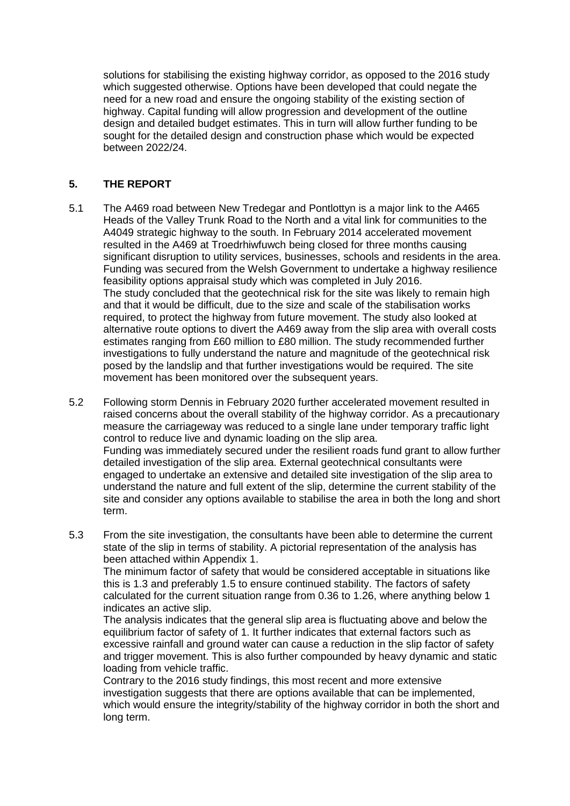solutions for stabilising the existing highway corridor, as opposed to the 2016 study which suggested otherwise. Options have been developed that could negate the need for a new road and ensure the ongoing stability of the existing section of highway. Capital funding will allow progression and development of the outline design and detailed budget estimates. This in turn will allow further funding to be sought for the detailed design and construction phase which would be expected between 2022/24.

## **5. THE REPORT**

- 5.1 The A469 road between New Tredegar and Pontlottyn is a major link to the A465 Heads of the Valley Trunk Road to the North and a vital link for communities to the A4049 strategic highway to the south. In February 2014 accelerated movement resulted in the A469 at Troedrhiwfuwch being closed for three months causing significant disruption to utility services, businesses, schools and residents in the area. Funding was secured from the Welsh Government to undertake a highway resilience feasibility options appraisal study which was completed in July 2016. The study concluded that the geotechnical risk for the site was likely to remain high and that it would be difficult, due to the size and scale of the stabilisation works required, to protect the highway from future movement. The study also looked at alternative route options to divert the A469 away from the slip area with overall costs estimates ranging from £60 million to £80 million. The study recommended further investigations to fully understand the nature and magnitude of the geotechnical risk posed by the landslip and that further investigations would be required. The site movement has been monitored over the subsequent years.
- 5.2 Following storm Dennis in February 2020 further accelerated movement resulted in raised concerns about the overall stability of the highway corridor. As a precautionary measure the carriageway was reduced to a single lane under temporary traffic light control to reduce live and dynamic loading on the slip area. Funding was immediately secured under the resilient roads fund grant to allow further detailed investigation of the slip area. External geotechnical consultants were engaged to undertake an extensive and detailed site investigation of the slip area to understand the nature and full extent of the slip, determine the current stability of the site and consider any options available to stabilise the area in both the long and short term.
- 5.3 From the site investigation, the consultants have been able to determine the current state of the slip in terms of stability. A pictorial representation of the analysis has been attached within Appendix 1.

The minimum factor of safety that would be considered acceptable in situations like this is 1.3 and preferably 1.5 to ensure continued stability. The factors of safety calculated for the current situation range from 0.36 to 1.26, where anything below 1 indicates an active slip.

The analysis indicates that the general slip area is fluctuating above and below the equilibrium factor of safety of 1. It further indicates that external factors such as excessive rainfall and ground water can cause a reduction in the slip factor of safety and trigger movement. This is also further compounded by heavy dynamic and static loading from vehicle traffic.

Contrary to the 2016 study findings, this most recent and more extensive investigation suggests that there are options available that can be implemented, which would ensure the integrity/stability of the highway corridor in both the short and long term.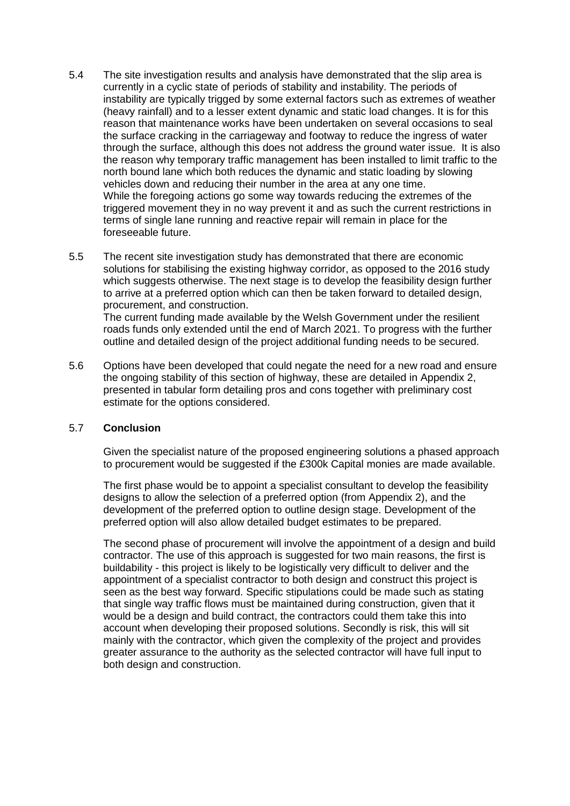- 5.4 The site investigation results and analysis have demonstrated that the slip area is currently in a cyclic state of periods of stability and instability. The periods of instability are typically trigged by some external factors such as extremes of weather (heavy rainfall) and to a lesser extent dynamic and static load changes. It is for this reason that maintenance works have been undertaken on several occasions to seal the surface cracking in the carriageway and footway to reduce the ingress of water through the surface, although this does not address the ground water issue. It is also the reason why temporary traffic management has been installed to limit traffic to the north bound lane which both reduces the dynamic and static loading by slowing vehicles down and reducing their number in the area at any one time. While the foregoing actions go some way towards reducing the extremes of the triggered movement they in no way prevent it and as such the current restrictions in terms of single lane running and reactive repair will remain in place for the foreseeable future.
- 5.5 The recent site investigation study has demonstrated that there are economic solutions for stabilising the existing highway corridor, as opposed to the 2016 study which suggests otherwise. The next stage is to develop the feasibility design further to arrive at a preferred option which can then be taken forward to detailed design, procurement, and construction. The current funding made available by the Welsh Government under the resilient

roads funds only extended until the end of March 2021. To progress with the further outline and detailed design of the project additional funding needs to be secured.

5.6 Options have been developed that could negate the need for a new road and ensure the ongoing stability of this section of highway, these are detailed in Appendix 2, presented in tabular form detailing pros and cons together with preliminary cost estimate for the options considered.

#### 5.7 **Conclusion**

Given the specialist nature of the proposed engineering solutions a phased approach to procurement would be suggested if the £300k Capital monies are made available.

The first phase would be to appoint a specialist consultant to develop the feasibility designs to allow the selection of a preferred option (from Appendix 2), and the development of the preferred option to outline design stage. Development of the preferred option will also allow detailed budget estimates to be prepared.

The second phase of procurement will involve the appointment of a design and build contractor. The use of this approach is suggested for two main reasons, the first is buildability - this project is likely to be logistically very difficult to deliver and the appointment of a specialist contractor to both design and construct this project is seen as the best way forward. Specific stipulations could be made such as stating that single way traffic flows must be maintained during construction, given that it would be a design and build contract, the contractors could them take this into account when developing their proposed solutions. Secondly is risk, this will sit mainly with the contractor, which given the complexity of the project and provides greater assurance to the authority as the selected contractor will have full input to both design and construction.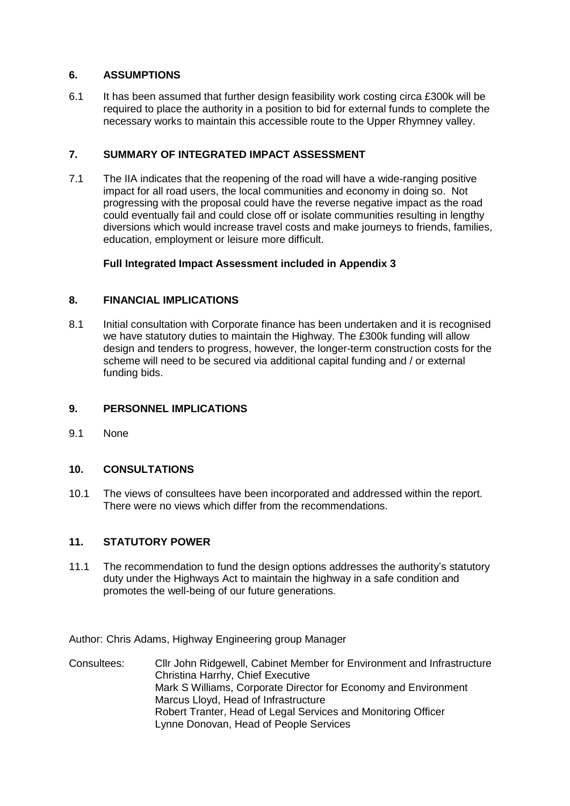#### **6. ASSUMPTIONS**

6.1 It has been assumed that further design feasibility work costing circa £300k will be required to place the authority in a position to bid for external funds to complete the necessary works to maintain this accessible route to the Upper Rhymney valley.

## **7. SUMMARY OF INTEGRATED IMPACT ASSESSMENT**

7.1 The IIA indicates that the reopening of the road will have a wide-ranging positive impact for all road users, the local communities and economy in doing so. Not progressing with the proposal could have the reverse negative impact as the road could eventually fail and could close off or isolate communities resulting in lengthy diversions which would increase travel costs and make journeys to friends, families, education, employment or leisure more difficult.

## **Full Integrated Impact Assessment included in Appendix 3**

## **8. FINANCIAL IMPLICATIONS**

8.1 Initial consultation with Corporate finance has been undertaken and it is recognised we have statutory duties to maintain the Highway. The £300k funding will allow design and tenders to progress, however, the longer-term construction costs for the scheme will need to be secured via additional capital funding and / or external funding bids.

### **9. PERSONNEL IMPLICATIONS**

9.1 None

## **10. CONSULTATIONS**

10.1 The views of consultees have been incorporated and addressed within the report. There were no views which differ from the recommendations.

## **11. STATUTORY POWER**

11.1 The recommendation to fund the design options addresses the authority's statutory duty under the Highways Act to maintain the highway in a safe condition and promotes the well-being of our future generations.

Author: Chris Adams, Highway Engineering group Manager

Consultees: Cllr John Ridgewell, Cabinet Member for Environment and Infrastructure Christina Harrhy, Chief Executive Mark S Williams, Corporate Director for Economy and Environment Marcus Lloyd, Head of Infrastructure Robert Tranter, Head of Legal Services and Monitoring Officer Lynne Donovan, Head of People Services